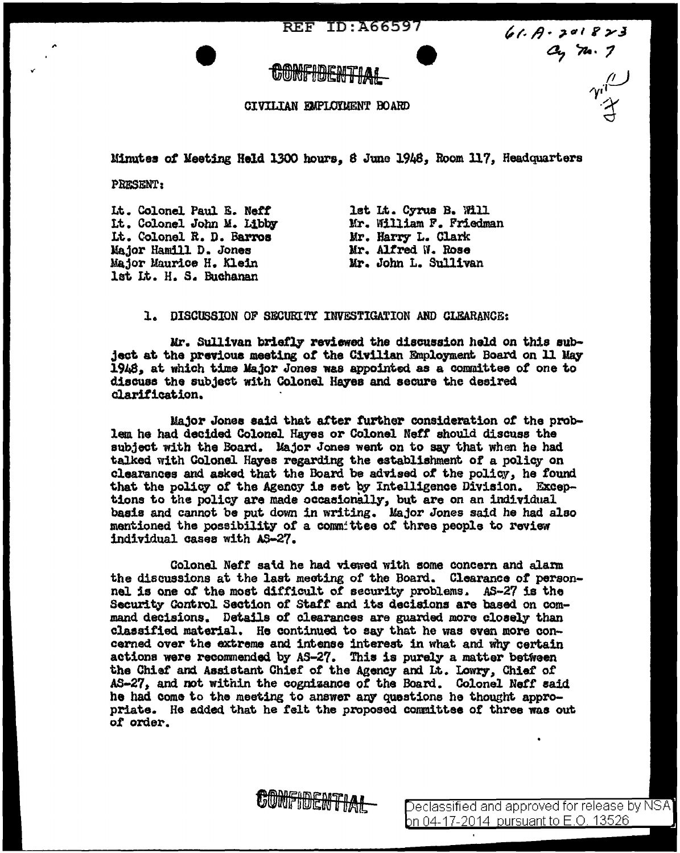**REF ID: A66597** 

## CIVILIAN EMPLOTMENT BOARD

Minutes *ot* Meeting Held 1300 hours, 8 June 1948, Room ll7, Headquarters

PRESENT:

,,.

Lt. Colonel Paul E. Nett 1t. Colonel John M. Libby Lt. Colonel R. D. Barros l!ajor Hamill D. Jones Major Maurice H. Klein let Lt. H. s. Buchanan

lst Lt. Cyrus B. Will Mr. William F. Friedman Mr. Harry- L. Clark Mr. Alfred W. Rose Mr. John L. Sullivan

61.  $A - 3a1823$ <br>  $a_2 7a.7$ 

l. DISCUSSION OF SECURtTY INVESTIGATION AND CLEARANCE:

Mr. Sullivan briet]Jr reviewed the discussion held on this subject at the previous meeting *ot* the Civilian &lployment Board on 11 *Utq*  l.948,, at which time Major Jones was appoint.&d. as a committee *ot* one to discuss the subject with Colonel Hayes and secure the desired clarification.

Major Jones said that atter further consideration *ot* the problem he had decided Colonel Hayes or Colonel Neff should discuss the subject with the Board. Major Jones went on to say that when he had talked with Colonel Hayes regarding the establishment of a policy on clearances and asked that the Board be advised of the policy, he found that the policy of the Agency is set by Intelligence Division. Exceptions to the policy are made occasionally, but are on an individual basis and cannot be put down in writing. Major Jones said he had also mentioned the possibility of a conm:ttee of three people to review individual oases with AS-27.

Colonel Neff said he had viewed with some concern and alarm the discussions at the last mecting of the Board. Clearance of personnel is one of the most difficult of security problems. AS-27 is the Security Control Section or Staff and its decisions are based on command decisions. Details of clearances are guarded more closely' than classified material. He continued to say that he was even more concerned over the extreme and intense interest in what and why certain actions were recommended by AS-27. This is purely a matter between the Chief and Assistant Chief of the Agency and Lt. Lowry, Chief of AB-27, and not within the cognizance *ot* the Board. Colonel Nett said. he had come to the meeting to answer arq questions he thought appropriate. He added that he felt the proposed committee of three was out *ot* order.

CONFIDENTIAL

eclassified and approved for release by NSA on 04-17-2014 pursuan<u>t to E.O. 13526.</u>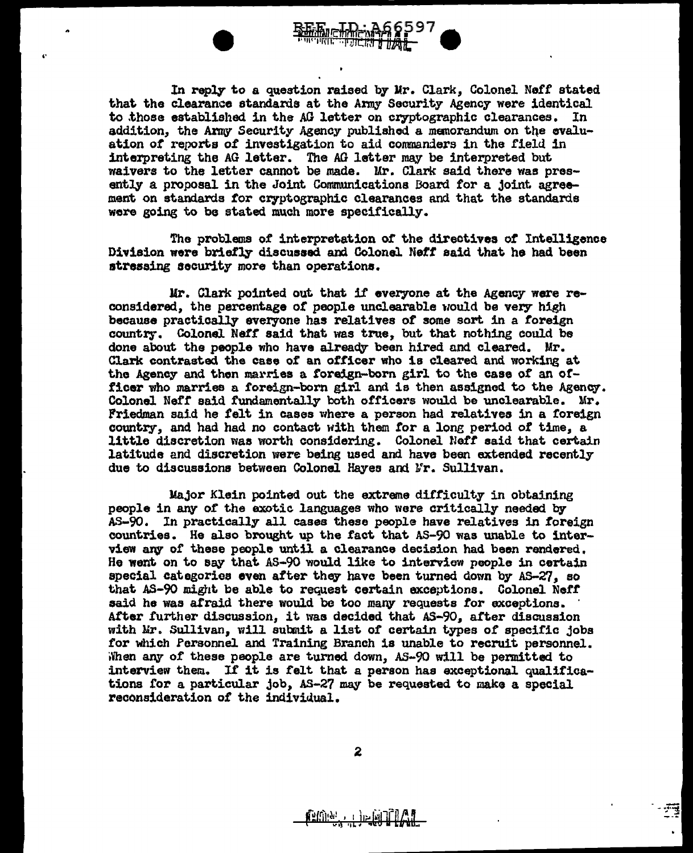

..

In reply to a question raised by Mr. Clark, Colonel Neff stated that the clearance standards at the Army Security Agency were identical to those established in the AG letter on cryptographic clearances. In addition, the Army Security Agency published a memorandum on the evaluation *ot* reports 0£ investigation to aid commanders in the field in interpreting the AG letter. The AG letter may be interpreted but waivers to the letter cannot be made. Mr. Clark said there was presently a proposal in the Joint Communications Board for a joint agreement on standards for cryptographic clearances and that the standards wore going to be stated much more specifically.

The problems of interpretation *or* the directives of Intelligence Division were briefly discussed and Colonel *Neff* said that he had been stressing security more than operations.

Ur. Clarie pointed out that if everyone at the Agency were reconsidered, the percentage of people unclearable would be very high because practically everyone has relatives *ot* some sort. in a foreign country. Colonel Neff said that was true, but that nothing could be done about the people who have already been hired and cleared. Mr. Clark contrasted the case of an officer who is cleared and working at the Agency and thon marries a foreign-born girl to the case of an officer who marries a foreign-born girl and is then assigned to the Agency. Colonel Nefr said fundamentally both officers would be unclearable. Mr. Friedman said he felt in cases where a person had relatives in a foreign country, and had had no contact with them for a long period of time, a little discretion was worth considering. Colonel Neff said that certain latitude and discretion were being used and have been extended recently due to discussions between Colonel Hayes and Mr. Sullivan.

Major Klein pointed out the extreme difficulty in obtaining people in any *or* the exotic. languages who were critically needed by AS-90. In practically all cases these people have relatives in foreign countries. He also brought up the fact that AS-90 was unable to interview any of these people until a clearance decision had been rendered. He went on to say that AS-90 would like to interview people in certain special categories even after they have been turned down by AS-27, so that AS-90 might be able to request certain exceptions. Colonel Neff said he was afraid there would be too many requests for exceptions. after further discussion, it was decided that AS-90, after discussion with Mr. Sullivan, will submit a list of certain types of specific jobs for which Personnel and Training Branch is unable to recruit personnel. When any of these people are turned down, AS-90 will be permitted to interview them. If it is felt that a person has exceptional qualifications for a particular job, AS-27 may be requested to make a special reconsideration of the individual.

**RADIO** DE MOILLA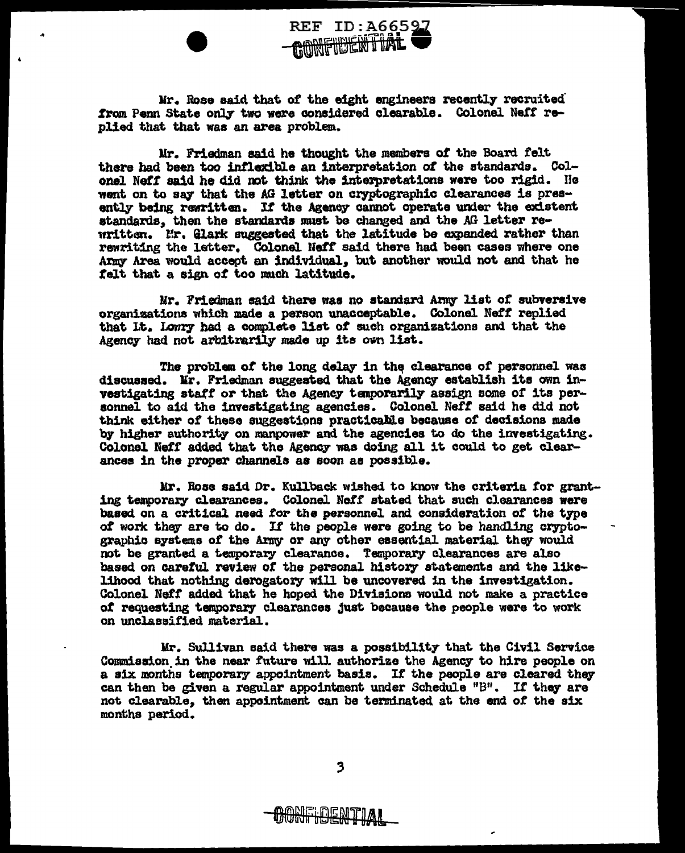

Mr. Rose said that of the eight engineers recently recruited from Penn State only two were considered clearable. Colonel Neff replied that that was an area problem.

..

Mr. Friedman said he thought the members of the Board felt there had been too intlexibl.e an interpretation *ot* the standards. Colonel Neff said he did not think the interpretations were too rigid. He went on to say that the AG letter on cryptographic clearances is presently being rewritten. If the Agency cannot operate under the existent standards. then the standards must be changed and the AG letter rewritten. Ir. Glark suggested that the latitude be expanded rather than rewriting the letter. Colonel Neff said there had been cases where one Army Area would accept an individual, but another would not and that he telt that. a sign *ot* too much latitude.

Mr. Friedman said there was no standard Army list of subversive organizations which made a person unacceptable. Colonel Neff replied that It. Lowry had a complete list of such organizations and that the Agency had not arbitrarily made up its own list.

The problem of the long delay in the clearance of personnel was discussed. Mr. Friedman suggested that the Agency establish its own investigating staff or that the Agency temporarily assign some of its personnel to aid the investigating agencies. Colonel *Nett* said he did not think either of these suggestions practicable because of decisions made by higher authority on manpower and the agencies to do the investigating. Colonel Neff added that the Agency was doing all it could to get clearances in the proper channels aa soon as possible.

Mr. Boae said Dr. Kullback wished to know the criteria tor granting temporary clearances. Colonel *Neff* stated that such clearances were based on a critical need for the personnel and consideration of the type of work they are to do. If the people were going to be handling cryptographic systems of the Army or any other essential material they would not be granted a temporary clearance. Temporary clearances are also based on careful review of the personal history statements and the likelihood that nothing derogatory will be uncovered in the investigation. Colonel Neff added that he hoped the Divisions would not make a practice *ot* requesting temporary clearances just because the people were to work on unclassified material..

Mr. Sullivan said there was a possibility that the Civil Service Commission in the near future will authorize the Agency to hire people on a six months temporary appointment basis. If the people are cleared they can then be given a regular appointment under Schedule "B". If they are not clearable, then appointment can be terminated at the end of the six months period.

 $\overline{\mathbf{3}}$ 

<del>1 DENTIAI</del>